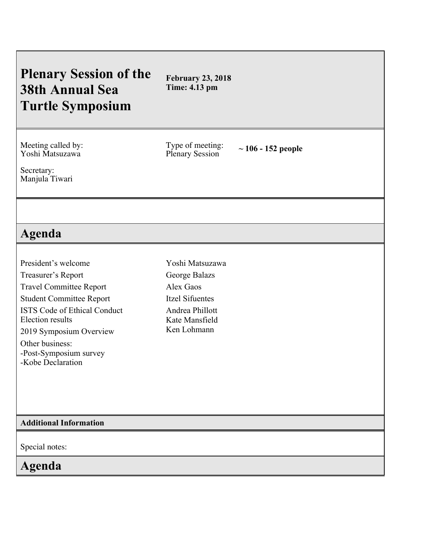# **Plenary Session of the 38th Annual Sea Turtle Symposium**

**February 23, 2018 Time: 4.13 pm**

Meeting called by: Yoshi Matsuzawa

Type of meeting:

Plenary Session **~ 106 - <sup>152</sup> people**

Secretary: Manjula Tiwari

## **Agenda**

President's welcome Treasurer's Report Travel Committee Report Student Committee Report ISTS Code of Ethical Conduct Election results 2019 Symposium Overview Other business: -Post-Symposium survey

Yoshi Matsuzawa George Balazs Alex Gaos Itzel Sifuentes Andrea Phillott Kate Mansfield Ken Lohmann

### **Additional Information**

-Kobe Declaration

Special notes:

## **Agenda**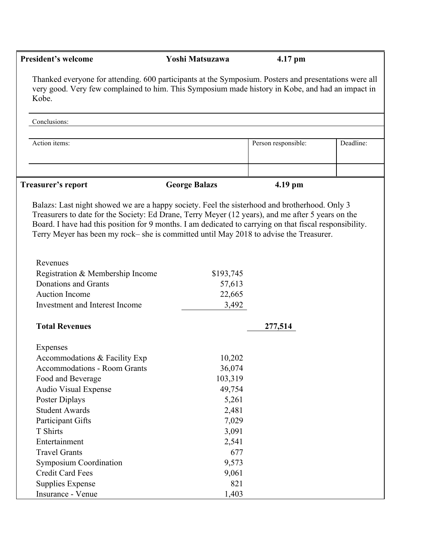| <b>President's welcome</b>                                                                                                                                                                                                                                                                            | Yoshi Matsuzawa      | 4.17 pm             |           |
|-------------------------------------------------------------------------------------------------------------------------------------------------------------------------------------------------------------------------------------------------------------------------------------------------------|----------------------|---------------------|-----------|
| Thanked everyone for attending. 600 participants at the Symposium. Posters and presentations were all<br>very good. Very few complained to him. This Symposium made history in Kobe, and had an impact in<br>Kobe.                                                                                    |                      |                     |           |
| Conclusions:                                                                                                                                                                                                                                                                                          |                      |                     |           |
| Action items:                                                                                                                                                                                                                                                                                         |                      | Person responsible: | Deadline: |
| <b>Treasurer's report</b>                                                                                                                                                                                                                                                                             | <b>George Balazs</b> | 4.19 pm             |           |
|                                                                                                                                                                                                                                                                                                       |                      |                     |           |
| Treasurers to date for the Society: Ed Drane, Terry Meyer (12 years), and me after 5 years on the<br>Board. I have had this position for 9 months. I am dedicated to carrying on that fiscal responsibility.<br>Terry Meyer has been my rock-she is committed until May 2018 to advise the Treasurer. |                      |                     |           |
| Revenues                                                                                                                                                                                                                                                                                              |                      |                     |           |
| Registration & Membership Income                                                                                                                                                                                                                                                                      | \$193,745            |                     |           |
| Donations and Grants                                                                                                                                                                                                                                                                                  | 57,613               |                     |           |
| <b>Auction Income</b>                                                                                                                                                                                                                                                                                 | 22,665               |                     |           |
| Investment and Interest Income                                                                                                                                                                                                                                                                        | 3,492                |                     |           |
| <b>Total Revenues</b>                                                                                                                                                                                                                                                                                 |                      | 277,514             |           |
| Expenses                                                                                                                                                                                                                                                                                              |                      |                     |           |
| Accommodations & Facility Exp                                                                                                                                                                                                                                                                         | 10,202               |                     |           |
| <b>Accommodations - Room Grants</b>                                                                                                                                                                                                                                                                   | 36,074               |                     |           |
| Food and Beverage                                                                                                                                                                                                                                                                                     | 103,319              |                     |           |
| <b>Audio Visual Expense</b>                                                                                                                                                                                                                                                                           | 49,754               |                     |           |
| Poster Diplays                                                                                                                                                                                                                                                                                        | 5,261                |                     |           |
| <b>Student Awards</b>                                                                                                                                                                                                                                                                                 | 2,481                |                     |           |
| <b>Participant Gifts</b>                                                                                                                                                                                                                                                                              | 7,029                |                     |           |
| T Shirts                                                                                                                                                                                                                                                                                              | 3,091                |                     |           |
| Entertainment                                                                                                                                                                                                                                                                                         | 2,541                |                     |           |
| <b>Travel Grants</b>                                                                                                                                                                                                                                                                                  | 677                  |                     |           |
| <b>Symposium Coordination</b>                                                                                                                                                                                                                                                                         | 9,573                |                     |           |
| <b>Credit Card Fees</b>                                                                                                                                                                                                                                                                               | 9,061                |                     |           |
| <b>Supplies Expense</b>                                                                                                                                                                                                                                                                               | 821                  |                     |           |
| Insurance - Venue                                                                                                                                                                                                                                                                                     | 1,403                |                     |           |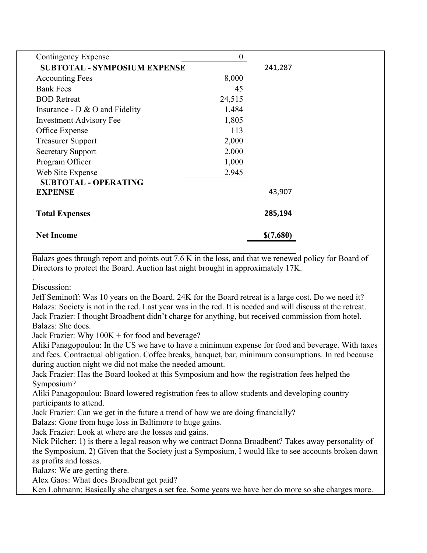| Contingency Expense                 | $\overline{0}$ |           |
|-------------------------------------|----------------|-----------|
| <b>SUBTOTAL - SYMPOSIUM EXPENSE</b> |                | 241,287   |
| <b>Accounting Fees</b>              | 8,000          |           |
| <b>Bank Fees</b>                    | 45             |           |
| <b>BOD</b> Retreat                  | 24,515         |           |
| Insurance - $D \& O$ and Fidelity   | 1,484          |           |
| <b>Investment Advisory Fee</b>      | 1,805          |           |
| Office Expense                      | 113            |           |
| <b>Treasurer Support</b>            | 2,000          |           |
| <b>Secretary Support</b>            | 2,000          |           |
| Program Officer                     | 1,000          |           |
| Web Site Expense                    | 2,945          |           |
| <b>SUBTOTAL - OPERATING</b>         |                |           |
| <b>EXPENSE</b>                      |                | 43,907    |
|                                     |                |           |
| <b>Total Expenses</b>               |                | 285,194   |
|                                     |                |           |
| <b>Net Income</b>                   |                | \$(7,680) |

Balazs goes through report and points out 7.6 K in the loss, and that we renewed policy for Board of Directors to protect the Board. Auction last night brought in approximately 17K.

Discussion:

.

Jeff Seminoff: Was 10 years on the Board. 24K for the Board retreat is a large cost. Do we need it? Balazs: Society is not in the red. Last year was in the red. It is needed and will discuss at the retreat. Jack Frazier: I thought Broadbent didn't charge for anything, but received commission from hotel. Balazs: She does.

Jack Frazier: Why 100K + for food and beverage?

Aliki Panagopoulou: In the US we have to have a minimum expense for food and beverage. With taxes and fees. Contractual obligation. Coffee breaks, banquet, bar, minimum consumptions. In red because during auction night we did not make the needed amount.

Jack Frazier: Has the Board looked at this Symposium and how the registration fees helped the Symposium?

Aliki Panagopoulou: Board lowered registration fees to allow students and developing country participants to attend.

Jack Frazier: Can we get in the future a trend of how we are doing financially?

Balazs: Gone from huge loss in Baltimore to huge gains.

Jack Frazier: Look at where are the losses and gains.

Nick Pilcher: 1) is there a legal reason why we contract Donna Broadbent? Takes away personality of the Symposium. 2) Given that the Society just a Symposium, I would like to see accounts broken down as profits and losses.

Balazs: We are getting there.

Alex Gaos: What does Broadbent get paid?

Ken Lohmann: Basically she charges a set fee. Some years we have her do more so she charges more.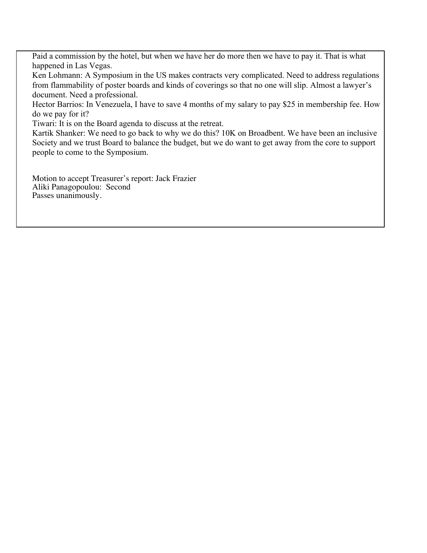Paid a commission by the hotel, but when we have her do more then we have to pay it. That is what happened in Las Vegas.

Ken Lohmann: A Symposium in the US makes contracts very complicated. Need to address regulations from flammability of poster boards and kinds of coverings so that no one will slip. Almost a lawyer's document. Need a professional.

Hector Barrios: In Venezuela, I have to save 4 months of my salary to pay \$25 in membership fee. How do we pay for it?

Tiwari: It is on the Board agenda to discuss at the retreat.

Kartik Shanker: We need to go back to why we do this? 10K on Broadbent. We have been an inclusive Society and we trust Board to balance the budget, but we do want to get away from the core to support people to come to the Symposium.

Motion to accept Treasurer's report: Jack Frazier Aliki Panagopoulou: Second Passes unanimously.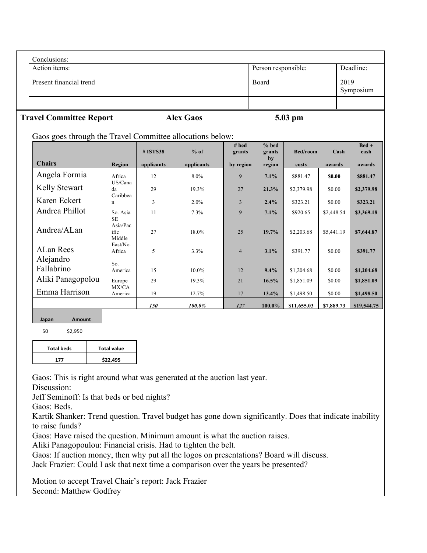| Conclusions:            |                     |                   |
|-------------------------|---------------------|-------------------|
| Action items:           | Person responsible: | Deadline:         |
| Present financial trend | Board               | 2019<br>Symposium |
|                         |                     |                   |

### **Travel Committee Report Alex Gaos 5.03 pm**

Gaos goes through the Travel Committee allocations below:

|                         |                                         | # ISTS38   | $%$ of     | # bed<br>grants | $%$ bed<br>grants | Bed/room    | Cash       | $Bed +$<br>cash |
|-------------------------|-----------------------------------------|------------|------------|-----------------|-------------------|-------------|------------|-----------------|
| <b>Chairs</b>           | <b>Region</b>                           | applicants | applicants | by region       | by<br>region      | costs       | awards     | awards          |
| Angela Formia           | Africa                                  | 12         | 8.0%       | 9               | 7.1%              | \$881.47    | \$0.00     | \$881.47        |
| Kelly Stewart           | US/Cana<br>da                           | 29         | 19.3%      | 27              | 21.3%             | \$2,379.98  | \$0.00     | \$2,379.98      |
| Karen Eckert            | Caribbea<br>$\mathbf n$                 | 3          | $2.0\%$    | 3               | 2.4%              | \$323.21    | \$0.00     | \$323.21        |
| Andrea Phillot          | So. Asia                                | 11         | 7.3%       | 9               | 7.1%              | \$920.65    | \$2,448.54 | \$3,369.18      |
| Andrea/ALan             | <b>SE</b><br>Asia/Pac<br>ific<br>Middle | 27         | 18.0%      | 25              | 19.7%             | \$2,203.68  | \$5,441.19 | \$7,644.87      |
| <b>ALan Rees</b>        | East/No.<br>Africa                      | 5          | 3.3%       | $\overline{4}$  | 3.1%              | \$391.77    | \$0.00     | \$391.77        |
| Alejandro<br>Fallabrino | So.<br>America                          | 15         | 10.0%      | 12              | 9.4%              | \$1,204.68  | \$0.00     | \$1,204.68      |
| Aliki Panagopolou       | Europe                                  | 29         | 19.3%      | 21              | 16.5%             | \$1,851.09  | \$0.00     | \$1,851.09      |
| Emma Harrison           | MX/CA<br>America                        | 19         | 12.7%      | 17              | 13.4%             | \$1,498.50  | \$0.00     | \$1,498.50      |
|                         |                                         | 150        | 100.0%     | 127             | 100.0%            | \$11,655.03 | \$7,889.73 | \$19,544.75     |

### **Japan Amount**

50 \$2,950 

| <b>Total beds</b> | <b>Total value</b> |
|-------------------|--------------------|
| 177               | \$22,495           |

Gaos: This is right around what was generated at the auction last year.

Discussion:

Jeff Seminoff: Is that beds or bed nights?

Gaos: Beds.

Kartik Shanker: Trend question. Travel budget has gone down significantly. Does that indicate inability to raise funds?

Gaos: Have raised the question. Minimum amount is what the auction raises.

Aliki Panagopoulou: Financial crisis. Had to tighten the belt.

Gaos: If auction money, then why put all the logos on presentations? Board will discuss. Jack Frazier: Could I ask that next time a comparison over the years be presented?

Motion to accept Travel Chair's report: Jack Frazier Second: Matthew Godfrey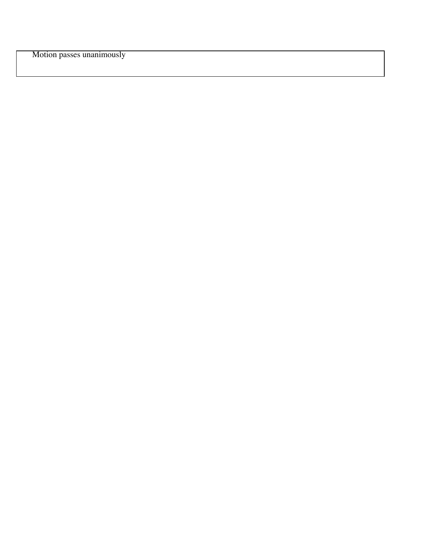Motion passes unanimously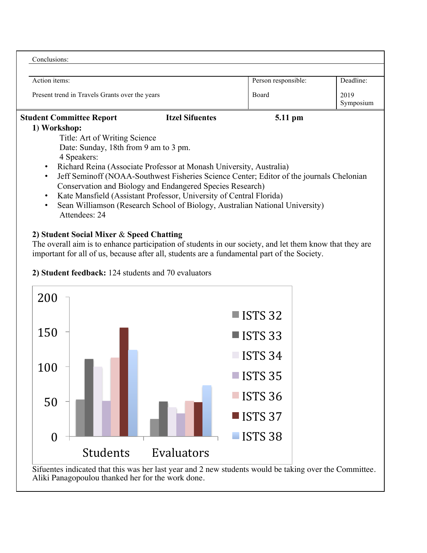| Conclusions:                                                                                          |                                                                     |                     |                   |  |  |
|-------------------------------------------------------------------------------------------------------|---------------------------------------------------------------------|---------------------|-------------------|--|--|
|                                                                                                       |                                                                     |                     |                   |  |  |
| Action items:                                                                                         |                                                                     | Person responsible: | Deadline:         |  |  |
| Present trend in Travels Grants over the years                                                        |                                                                     | Board               | 2019<br>Symposium |  |  |
| <b>Student Committee Report</b>                                                                       | <b>Itzel Sifuentes</b>                                              | 5.11 pm             |                   |  |  |
| 1) Workshop:                                                                                          |                                                                     |                     |                   |  |  |
| Title: Art of Writing Science                                                                         |                                                                     |                     |                   |  |  |
| Date: Sunday, 18th from 9 am to 3 pm.                                                                 |                                                                     |                     |                   |  |  |
| 4 Speakers:                                                                                           |                                                                     |                     |                   |  |  |
| $\bullet$                                                                                             | Richard Reina (Associate Professor at Monash University, Australia) |                     |                   |  |  |
| Jeff Seminoff (NOAA-Southwest Fisheries Science Center; Editor of the journals Chelonian<br>$\bullet$ |                                                                     |                     |                   |  |  |
| Conservation and Biology and Endangered Species Research)                                             |                                                                     |                     |                   |  |  |
| Kate Mansfield (Assistant Professor, University of Central Florida)<br>$\bullet$                      |                                                                     |                     |                   |  |  |
| Sean Williamson (Research School of Biology, Australian National University)<br>$\bullet$             |                                                                     |                     |                   |  |  |

Attendees: 24

### **2) Student Social Mixer** & **Speed Chatting**

The overall aim is to enhance participation of students in our society, and let them know that they are important for all of us, because after all, students are a fundamental part of the Society.



**2) Student feedback:** 124 students and 70 evaluators

Sifuentes indicated that this was her last year and 2 new students would be taking over the Committee. Aliki Panagopoulou thanked her for the work done.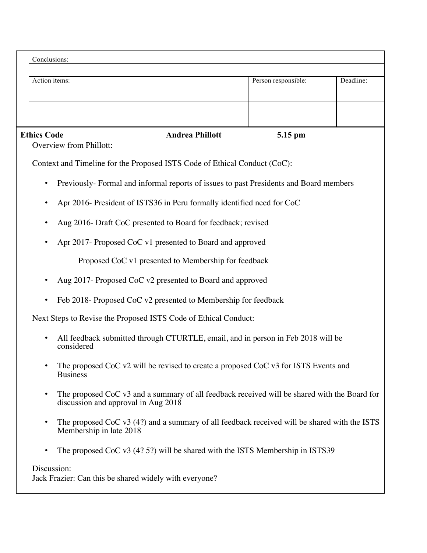| Conclusions:                                                                                                |                        |                     |           |
|-------------------------------------------------------------------------------------------------------------|------------------------|---------------------|-----------|
| Action items:                                                                                               |                        | Person responsible: | Deadline: |
|                                                                                                             |                        |                     |           |
| <b>Ethics Code</b>                                                                                          | <b>Andrea Phillott</b> | 5.15 pm             |           |
| Overview from Phillott:                                                                                     |                        |                     |           |
| Context and Timeline for the Proposed ISTS Code of Ethical Conduct (CoC):                                   |                        |                     |           |
| Previously-Formal and informal reports of issues to past Presidents and Board members<br>$\bullet$          |                        |                     |           |
| Apr 2016- President of ISTS36 in Peru formally identified need for CoC<br>$\bullet$                         |                        |                     |           |
| Aug 2016- Draft CoC presented to Board for feedback; revised                                                |                        |                     |           |
| Apr 2017- Proposed CoC v1 presented to Board and approved<br>$\bullet$                                      |                        |                     |           |
| Proposed CoC v1 presented to Membership for feedback                                                        |                        |                     |           |
| Aug 2017- Proposed CoC v2 presented to Board and approved<br>$\bullet$                                      |                        |                     |           |
| Feb 2018- Proposed CoC v2 presented to Membership for feedback<br>$\bullet$                                 |                        |                     |           |
| Next Steps to Revise the Proposed ISTS Code of Ethical Conduct:                                             |                        |                     |           |
| All feedback submitted through CTURTLE, email, and in person in Feb 2018 will be<br>$\bullet$<br>considered |                        |                     |           |

- The proposed CoC v2 will be revised to create a proposed CoC v3 for ISTS Events and Business
- The proposed CoC v3 and a summary of all feedback received will be shared with the Board for discussion and approval in Aug 2018
- The proposed CoC v3 (4?) and a summary of all feedback received will be shared with the ISTS Membership in late 2018
- The proposed CoC v3 (4? 5?) will be shared with the ISTS Membership in ISTS39

### Discussion:

Jack Frazier: Can this be shared widely with everyone?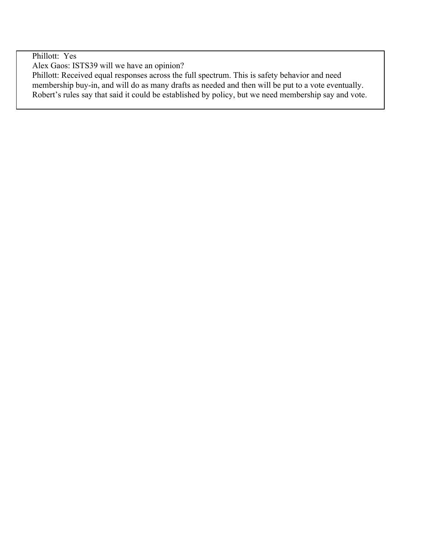Phillott: Yes

Alex Gaos: ISTS39 will we have an opinion?

Phillott: Received equal responses across the full spectrum. This is safety behavior and need membership buy-in, and will do as many drafts as needed and then will be put to a vote eventually. Robert's rules say that said it could be established by policy, but we need membership say and vote.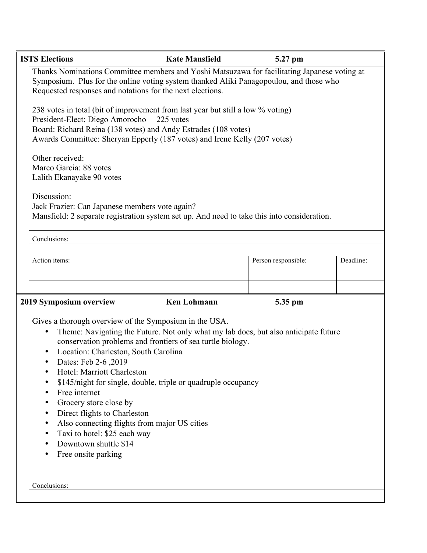| <b>ISTS Elections</b>                                                                                                                                                                                                                                                                                                                                                                                                                                                                                                                                                                                                    | <b>Kate Mansfield</b>                                                                                                                                                                                                                                                       | 5.27 pm             |           |  |  |
|--------------------------------------------------------------------------------------------------------------------------------------------------------------------------------------------------------------------------------------------------------------------------------------------------------------------------------------------------------------------------------------------------------------------------------------------------------------------------------------------------------------------------------------------------------------------------------------------------------------------------|-----------------------------------------------------------------------------------------------------------------------------------------------------------------------------------------------------------------------------------------------------------------------------|---------------------|-----------|--|--|
| Thanks Nominations Committee members and Yoshi Matsuzawa for facilitating Japanese voting at<br>Symposium. Plus for the online voting system thanked Aliki Panagopoulou, and those who<br>Requested responses and notations for the next elections.                                                                                                                                                                                                                                                                                                                                                                      |                                                                                                                                                                                                                                                                             |                     |           |  |  |
|                                                                                                                                                                                                                                                                                                                                                                                                                                                                                                                                                                                                                          | 238 votes in total (bit of improvement from last year but still a low % voting)<br>President-Elect: Diego Amorocho-225 votes<br>Board: Richard Reina (138 votes) and Andy Estrades (108 votes)<br>Awards Committee: Sheryan Epperly (187 votes) and Irene Kelly (207 votes) |                     |           |  |  |
| Other received:<br>Marco Garcia: 88 votes<br>Lalith Ekanayake 90 votes                                                                                                                                                                                                                                                                                                                                                                                                                                                                                                                                                   |                                                                                                                                                                                                                                                                             |                     |           |  |  |
| Discussion:<br>Jack Frazier: Can Japanese members vote again?<br>Mansfield: 2 separate registration system set up. And need to take this into consideration.                                                                                                                                                                                                                                                                                                                                                                                                                                                             |                                                                                                                                                                                                                                                                             |                     |           |  |  |
| Conclusions:                                                                                                                                                                                                                                                                                                                                                                                                                                                                                                                                                                                                             |                                                                                                                                                                                                                                                                             |                     |           |  |  |
| Action items:                                                                                                                                                                                                                                                                                                                                                                                                                                                                                                                                                                                                            |                                                                                                                                                                                                                                                                             | Person responsible: | Deadline: |  |  |
|                                                                                                                                                                                                                                                                                                                                                                                                                                                                                                                                                                                                                          |                                                                                                                                                                                                                                                                             |                     |           |  |  |
| 2019 Symposium overview                                                                                                                                                                                                                                                                                                                                                                                                                                                                                                                                                                                                  | <b>Ken Lohmann</b>                                                                                                                                                                                                                                                          | 5.35 pm             |           |  |  |
| Gives a thorough overview of the Symposium in the USA.<br>Theme: Navigating the Future. Not only what my lab does, but also anticipate future<br>٠<br>conservation problems and frontiers of sea turtle biology.<br>Location: Charleston, South Carolina<br>٠<br>Dates: Feb 2-6, 2019<br>Hotel: Marriott Charleston<br>\$145/night for single, double, triple or quadruple occupancy<br>٠<br>Free internet<br>٠<br>Grocery store close by<br>Direct flights to Charleston<br>٠<br>Also connecting flights from major US cities<br>٠<br>Taxi to hotel: \$25 each way<br>٠<br>Downtown shuttle \$14<br>Free onsite parking |                                                                                                                                                                                                                                                                             |                     |           |  |  |
| Conclusions:                                                                                                                                                                                                                                                                                                                                                                                                                                                                                                                                                                                                             |                                                                                                                                                                                                                                                                             |                     |           |  |  |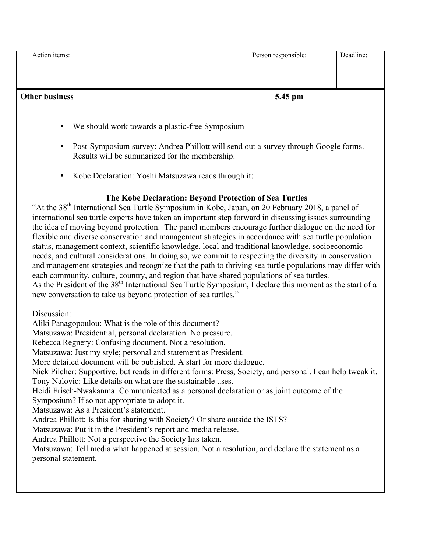| <b>Other business</b> | 5.45 pm             |           |
|-----------------------|---------------------|-----------|
|                       |                     |           |
|                       |                     |           |
| Action items:         | Person responsible: | Deadline: |

- We should work towards a plastic-free Symposium
- Post-Symposium survey: Andrea Phillott will send out a survey through Google forms. Results will be summarized for the membership.
- Kobe Declaration: Yoshi Matsuzawa reads through it:

### **The Kobe Declaration: Beyond Protection of Sea Turtles**

"At the 38<sup>th</sup> International Sea Turtle Symposium in Kobe, Japan, on 20 February 2018, a panel of international sea turtle experts have taken an important step forward in discussing issues surrounding the idea of moving beyond protection. The panel members encourage further dialogue on the need for flexible and diverse conservation and management strategies in accordance with sea turtle population status, management context, scientific knowledge, local and traditional knowledge, socioeconomic needs, and cultural considerations. In doing so, we commit to respecting the diversity in conservation and management strategies and recognize that the path to thriving sea turtle populations may differ with each community, culture, country, and region that have shared populations of sea turtles. As the President of the 38<sup>th</sup> International Sea Turtle Symposium, I declare this moment as the start of a new conversation to take us beyond protection of sea turtles."

Discussion:

Aliki Panagopoulou: What is the role of this document? Matsuzawa: Presidential, personal declaration. No pressure. Rebecca Regnery: Confusing document. Not a resolution. Matsuzawa: Just my style; personal and statement as President. More detailed document will be published. A start for more dialogue. Nick Pilcher: Supportive, but reads in different forms: Press, Society, and personal. I can help tweak it. Tony Nalovic: Like details on what are the sustainable uses. Heidi Frisch-Nwakanma: Communicated as a personal declaration or as joint outcome of the Symposium? If so not appropriate to adopt it. Matsuzawa: As a President's statement. Andrea Phillott: Is this for sharing with Society? Or share outside the ISTS? Matsuzawa: Put it in the President's report and media release. Andrea Phillott: Not a perspective the Society has taken. Matsuzawa: Tell media what happened at session. Not a resolution, and declare the statement as a personal statement.